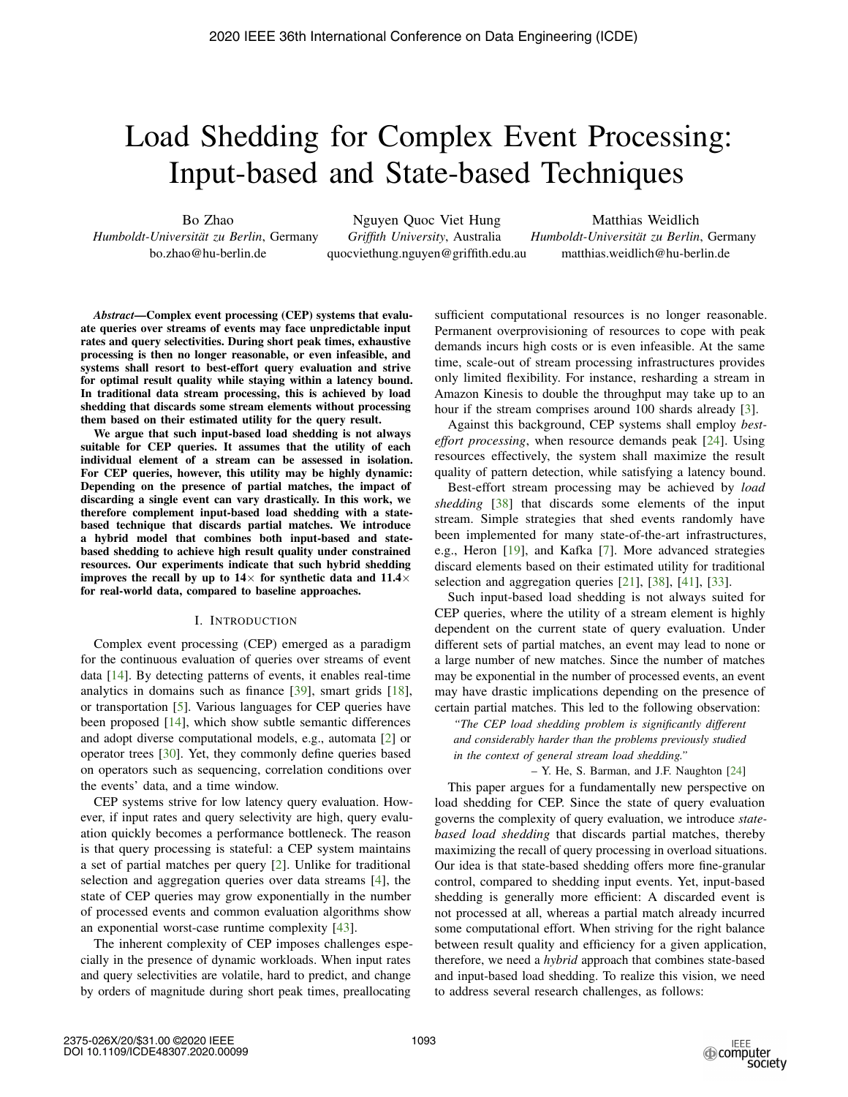# Load Shedding for Complex Event Processing: Input-based and State-based Techniques

Bo Zhao

*Humboldt-Universitat zu Berlin ¨* , Germany bo.zhao@hu-berlin.de

Nguyen Quoc Viet Hung *Griffith University*, Australia quocviethung.nguyen@griffith.edu.au

Matthias Weidlich *Humboldt-Universitat zu Berlin ¨* , Germany matthias.weidlich@hu-berlin.de

*Abstract*—Complex event processing (CEP) systems that evaluate queries over streams of events may face unpredictable input rates and query selectivities. During short peak times, exhaustive processing is then no longer reasonable, or even infeasible, and systems shall resort to best-effort query evaluation and strive for optimal result quality while staying within a latency bound. In traditional data stream processing, this is achieved by load shedding that discards some stream elements without processing them based on their estimated utility for the query result.

We argue that such input-based load shedding is not always suitable for CEP queries. It assumes that the utility of each individual element of a stream can be assessed in isolation. For CEP queries, however, this utility may be highly dynamic: Depending on the presence of partial matches, the impact of discarding a single event can vary drastically. In this work, we therefore complement input-based load shedding with a statebased technique that discards partial matches. We introduce a hybrid model that combines both input-based and statebased shedding to achieve high result quality under constrained resources. Our experiments indicate that such hybrid shedding improves the recall by up to  $14\times$  for synthetic data and  $11.4\times$ for real-world data, compared to baseline approaches.

## I. INTRODUCTION

Complex event processing (CEP) emerged as a paradigm for the continuous evaluation of queries over streams of event data [14]. By detecting patterns of events, it enables real-time analytics in domains such as finance [39], smart grids [18], or transportation [5]. Various languages for CEP queries have been proposed [14], which show subtle semantic differences and adopt diverse computational models, e.g., automata [2] or operator trees [30]. Yet, they commonly define queries based on operators such as sequencing, correlation conditions over the events' data, and a time window.

CEP systems strive for low latency query evaluation. However, if input rates and query selectivity are high, query evaluation quickly becomes a performance bottleneck. The reason is that query processing is stateful: a CEP system maintains a set of partial matches per query [2]. Unlike for traditional selection and aggregation queries over data streams [4], the state of CEP queries may grow exponentially in the number of processed events and common evaluation algorithms show an exponential worst-case runtime complexity [43].

The inherent complexity of CEP imposes challenges especially in the presence of dynamic workloads. When input rates and query selectivities are volatile, hard to predict, and change by orders of magnitude during short peak times, preallocating sufficient computational resources is no longer reasonable. Permanent overprovisioning of resources to cope with peak demands incurs high costs or is even infeasible. At the same time, scale-out of stream processing infrastructures provides only limited flexibility. For instance, resharding a stream in Amazon Kinesis to double the throughput may take up to an hour if the stream comprises around 100 shards already [3].

Against this background, CEP systems shall employ *besteffort processing*, when resource demands peak [24]. Using resources effectively, the system shall maximize the result quality of pattern detection, while satisfying a latency bound.

Best-effort stream processing may be achieved by *load shedding* [38] that discards some elements of the input stream. Simple strategies that shed events randomly have been implemented for many state-of-the-art infrastructures, e.g., Heron [19], and Kafka [7]. More advanced strategies discard elements based on their estimated utility for traditional selection and aggregation queries [21], [38], [41], [33].

Such input-based load shedding is not always suited for CEP queries, where the utility of a stream element is highly dependent on the current state of query evaluation. Under different sets of partial matches, an event may lead to none or a large number of new matches. Since the number of matches may be exponential in the number of processed events, an event may have drastic implications depending on the presence of certain partial matches. This led to the following observation:

*"The CEP load shedding problem is significantly different and considerably harder than the problems previously studied in the context of general stream load shedding."*

– Y. He, S. Barman, and J.F. Naughton [24]

This paper argues for a fundamentally new perspective on load shedding for CEP. Since the state of query evaluation governs the complexity of query evaluation, we introduce *statebased load shedding* that discards partial matches, thereby maximizing the recall of query processing in overload situations. Our idea is that state-based shedding offers more fine-granular control, compared to shedding input events. Yet, input-based shedding is generally more efficient: A discarded event is not processed at all, whereas a partial match already incurred some computational effort. When striving for the right balance between result quality and efficiency for a given application, therefore, we need a *hybrid* approach that combines state-based and input-based load shedding. To realize this vision, we need to address several research challenges, as follows: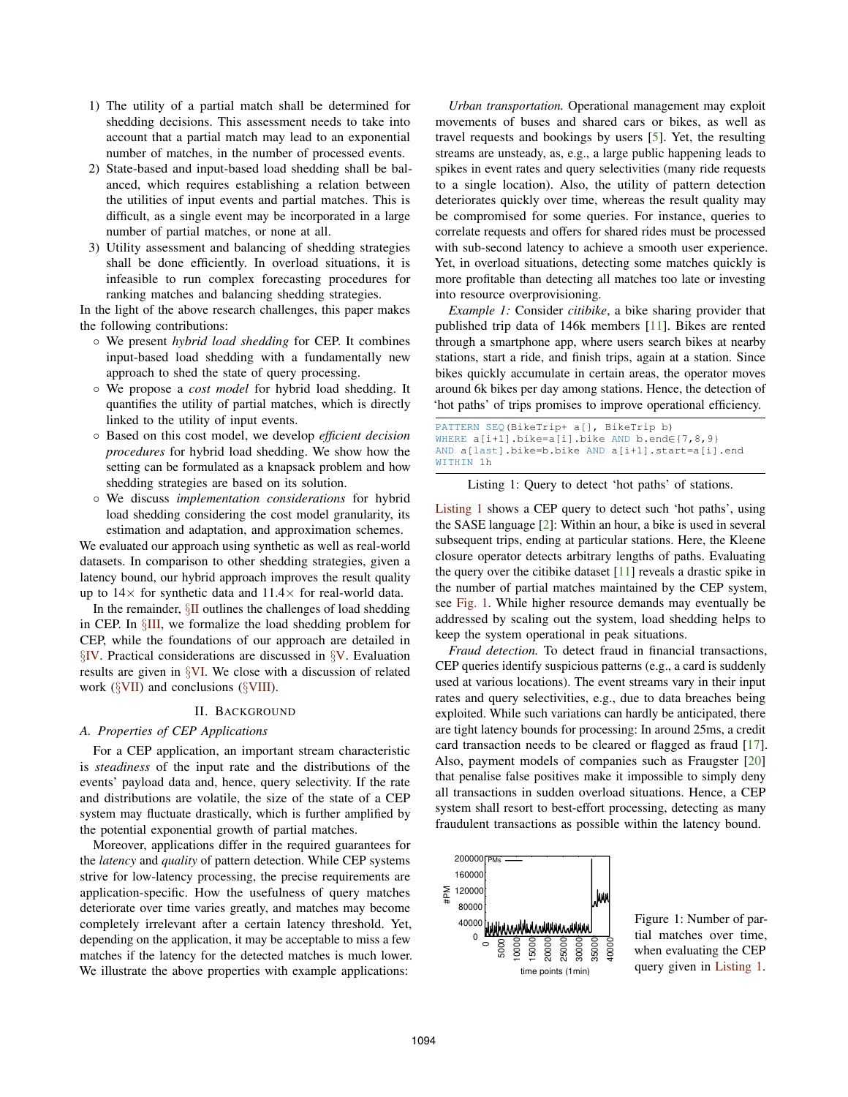- 1) The utility of a partial match shall be determined for shedding decisions. This assessment needs to take into account that a partial match may lead to an exponential number of matches, in the number of processed events.
- 2) State-based and input-based load shedding shall be balanced, which requires establishing a relation between the utilities of input events and partial matches. This is difficult, as a single event may be incorporated in a large number of partial matches, or none at all.
- 3) Utility assessment and balancing of shedding strategies shall be done efficiently. In overload situations, it is infeasible to run complex forecasting procedures for ranking matches and balancing shedding strategies.

In the light of the above research challenges, this paper makes the following contributions:

- We present *hybrid load shedding* for CEP. It combines input-based load shedding with a fundamentally new approach to shed the state of query processing.
- We propose a *cost model* for hybrid load shedding. It quantifies the utility of partial matches, which is directly linked to the utility of input events.
- Based on this cost model, we develop *efficient decision procedures* for hybrid load shedding. We show how the setting can be formulated as a knapsack problem and how shedding strategies are based on its solution.
- We discuss *implementation considerations* for hybrid load shedding considering the cost model granularity, its estimation and adaptation, and approximation schemes.

We evaluated our approach using synthetic as well as real-world datasets. In comparison to other shedding strategies, given a latency bound, our hybrid approach improves the result quality up to  $14\times$  for synthetic data and  $11.4\times$  for real-world data.

In the remainder,  $\S$ II outlines the challenges of load shedding in CEP. In §III, we formalize the load shedding problem for CEP, while the foundations of our approach are detailed in  $\S$ IV. Practical considerations are discussed in  $\S$ V. Evaluation results are given in §VI. We close with a discussion of related work  $(\S$ VII) and conclusions  $(\S$ VIII).

## II. BACKGROUND

# *A. Properties of CEP Applications*

For a CEP application, an important stream characteristic is *steadiness* of the input rate and the distributions of the events' payload data and, hence, query selectivity. If the rate and distributions are volatile, the size of the state of a CEP system may fluctuate drastically, which is further amplified by the potential exponential growth of partial matches.

Moreover, applications differ in the required guarantees for the *latency* and *quality* of pattern detection. While CEP systems strive for low-latency processing, the precise requirements are application-specific. How the usefulness of query matches deteriorate over time varies greatly, and matches may become completely irrelevant after a certain latency threshold. Yet, depending on the application, it may be acceptable to miss a few matches if the latency for the detected matches is much lower. We illustrate the above properties with example applications:

*Urban transportation.* Operational management may exploit movements of buses and shared cars or bikes, as well as travel requests and bookings by users [5]. Yet, the resulting streams are unsteady, as, e.g., a large public happening leads to spikes in event rates and query selectivities (many ride requests to a single location). Also, the utility of pattern detection deteriorates quickly over time, whereas the result quality may be compromised for some queries. For instance, queries to correlate requests and offers for shared rides must be processed with sub-second latency to achieve a smooth user experience. Yet, in overload situations, detecting some matches quickly is more profitable than detecting all matches too late or investing into resource overprovisioning.

*Example 1:* Consider *citibike*, a bike sharing provider that published trip data of 146k members [11]. Bikes are rented through a smartphone app, where users search bikes at nearby stations, start a ride, and finish trips, again at a station. Since bikes quickly accumulate in certain areas, the operator moves around 6k bikes per day among stations. Hence, the detection of 'hot paths' of trips promises to improve operational efficiency.

| PATTERN SEO (BikeTrip+ a[], BikeTrip b)                        |
|----------------------------------------------------------------|
| WHERE $a[i+1]$ .bike= $a[i]$ .bike AND b.end $\in \{7, 8, 9\}$ |
| AND a[last].bike=b.bike AND a[i+1].start=a[i].end              |
| WITHIN 1h                                                      |

Listing 1: Query to detect 'hot paths' of stations.

Listing 1 shows a CEP query to detect such 'hot paths', using the SASE language [2]: Within an hour, a bike is used in several subsequent trips, ending at particular stations. Here, the Kleene closure operator detects arbitrary lengths of paths. Evaluating the query over the citibike dataset [11] reveals a drastic spike in the number of partial matches maintained by the CEP system, see Fig. 1. While higher resource demands may eventually be addressed by scaling out the system, load shedding helps to keep the system operational in peak situations.

*Fraud detection.* To detect fraud in financial transactions, CEP queries identify suspicious patterns (e.g., a card is suddenly used at various locations). The event streams vary in their input rates and query selectivities, e.g., due to data breaches being exploited. While such variations can hardly be anticipated, there are tight latency bounds for processing: In around 25ms, a credit card transaction needs to be cleared or flagged as fraud [17]. Also, payment models of companies such as Fraugster [20] that penalise false positives make it impossible to simply deny all transactions in sudden overload situations. Hence, a CEP system shall resort to best-effort processing, detecting as many fraudulent transactions as possible within the latency bound.



Figure 1: Number of partial matches over time, when evaluating the CEP query given in Listing 1.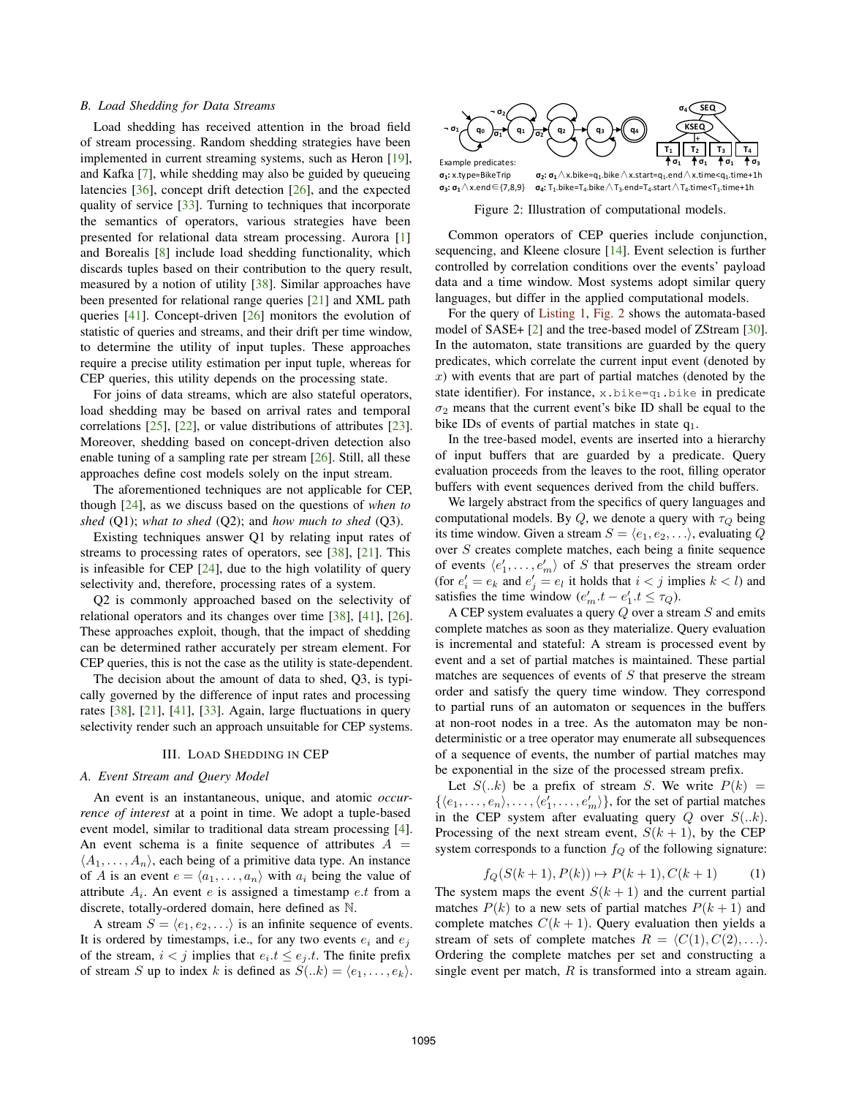## *B. Load Shedding for Data Streams*

Load shedding has received attention in the broad field of stream processing. Random shedding strategies have been implemented in current streaming systems, such as Heron [19], and Kafka [7], while shedding may also be guided by queueing latencies [36], concept drift detection [26], and the expected quality of service [33]. Turning to techniques that incorporate the semantics of operators, various strategies have been presented for relational data stream processing. Aurora [1] and Borealis [8] include load shedding functionality, which discards tuples based on their contribution to the query result, measured by a notion of utility [38]. Similar approaches have been presented for relational range queries [21] and XML path queries [41]. Concept-driven [26] monitors the evolution of statistic of queries and streams, and their drift per time window, to determine the utility of input tuples. These approaches require a precise utility estimation per input tuple, whereas for CEP queries, this utility depends on the processing state.

For joins of data streams, which are also stateful operators, load shedding may be based on arrival rates and temporal correlations [25], [22], or value distributions of attributes [23]. Moreover, shedding based on concept-driven detection also enable tuning of a sampling rate per stream [26]. Still, all these approaches define cost models solely on the input stream.

The aforementioned techniques are not applicable for CEP, though [24], as we discuss based on the questions of *when to shed* (Q1); *what to shed* (Q2); and *how much to shed* (Q3).

Existing techniques answer Q1 by relating input rates of streams to processing rates of operators, see [38], [21]. This is infeasible for CEP [24], due to the high volatility of query selectivity and, therefore, processing rates of a system.

Q2 is commonly approached based on the selectivity of relational operators and its changes over time [38], [41], [26]. These approaches exploit, though, that the impact of shedding can be determined rather accurately per stream element. For CEP queries, this is not the case as the utility is state-dependent.

The decision about the amount of data to shed, Q3, is typically governed by the difference of input rates and processing rates [38], [21], [41], [33]. Again, large fluctuations in query selectivity render such an approach unsuitable for CEP systems.

## III. LOAD SHEDDING IN CEP

#### *A. Event Stream and Query Model*

An event is an instantaneous, unique, and atomic *occurrence of interest* at a point in time. We adopt a tuple-based event model, similar to traditional data stream processing [4]. An event schema is a finite sequence of attributes  $A =$  $\langle A_1, \ldots, A_n \rangle$ , each being of a primitive data type. An instance of A is an event  $e = \langle a_1, \ldots, a_n \rangle$  with  $a_i$  being the value of attribute  $A_i$ . An event e is assigned a timestamp e.t from a discrete, totally-ordered domain, here defined as N.

A stream  $S = \langle e_1, e_2, \ldots \rangle$  is an infinite sequence of events. It is ordered by timestamps, i.e., for any two events  $e_i$  and  $e_j$ of the stream,  $i < j$  implies that  $e_i.t \leq e_j.t$ . The finite prefix of stream S up to index k is defined as  $S(.k) = \langle e_1, \ldots, e_k \rangle$ .



**σ**<sub>1</sub>: **x**.type=BikeTrip **σ**<sub>2</sub>: **σ**<sub>1</sub> $\Lambda$ x.bike=q<sub>1</sub>.bike  $\Lambda$ x.start=q<sub>1</sub>.end $\Lambda$ x.time<q<sub>1</sub>.time+1h<br>**σ**<sub>3</sub>: **σ**<sub>1</sub> $\Lambda$ x.end ∈ {7,8,9} **σ**<sub>4</sub>; T<sub>1</sub>,bike=T<sub>4</sub>,bike  $\Lambda$  T<sub>4</sub>.end=T<sub>4</sub>,start  $\Lambda$  T<sub>4</sub>,time<T<sub>1</sub>,time+1h  $\sigma_4$ :  $T_1$ .bike=T<sub>4</sub>.bike  $\wedge$  T<sub>3</sub>.end=T<sub>4</sub>.start  $\wedge$  T<sub>4</sub>.time<T<sub>1</sub>.time+1h

Figure 2: Illustration of computational models.

Common operators of CEP queries include conjunction, sequencing, and Kleene closure [14]. Event selection is further controlled by correlation conditions over the events' payload data and a time window. Most systems adopt similar query languages, but differ in the applied computational models.

For the query of Listing 1, Fig. 2 shows the automata-based model of SASE+ [2] and the tree-based model of ZStream [30]. In the automaton, state transitions are guarded by the query predicates, which correlate the current input event (denoted by  $x$ ) with events that are part of partial matches (denoted by the state identifier). For instance,  $x.bike=q_1.bike$  in predicate  $\sigma_2$  means that the current event's bike ID shall be equal to the bike IDs of events of partial matches in state  $q_1$ .

In the tree-based model, events are inserted into a hierarchy of input buffers that are guarded by a predicate. Query evaluation proceeds from the leaves to the root, filling operator buffers with event sequences derived from the child buffers.

We largely abstract from the specifics of query languages and computational models. By Q, we denote a query with  $\tau_Q$  being its time window. Given a stream  $S = \langle e_1, e_2, \ldots \rangle$ , evaluating Q over S creates complete matches, each being a finite sequence of events  $\langle e'_1, \ldots, e'_m \rangle$  of S that preserves the stream order (for  $e'_i = e_k$  and  $e'_i = e_l$  it holds that  $i < j$  implies  $k < l$ ) and satisfies the time window  $(e'_m.t - e'_1.t \leq \tau_Q)$ .

A CEP system evaluates a query  $Q$  over a stream  $S$  and emits complete matches as soon as they materialize. Query evaluation is incremental and stateful: A stream is processed event by event and a set of partial matches is maintained. These partial matches are sequences of events of  $S$  that preserve the stream order and satisfy the query time window. They correspond to partial runs of an automaton or sequences in the buffers at non-root nodes in a tree. As the automaton may be nondeterministic or a tree operator may enumerate all subsequences of a sequence of events, the number of partial matches may be exponential in the size of the processed stream prefix.

Let  $S(.k)$  be a prefix of stream S. We write  $P(k)$  =  $\{\langle e_1, \ldots, e_n \rangle, \ldots, \langle e'_1, \ldots, e'_m \rangle\}$ , for the set of partial matches in the CEP system after evaluating query  $Q$  over  $S(.k)$ . Processing of the next stream event,  $S(k + 1)$ , by the CEP system corresponds to a function  $f_Q$  of the following signature:

$$
f_Q(S(k+1), P(k)) \mapsto P(k+1), C(k+1)
$$
 (1)

The system maps the event  $S(k + 1)$  and the current partial matches  $P(k)$  to a new sets of partial matches  $P(k + 1)$  and complete matches  $C(k + 1)$ . Query evaluation then yields a stream of sets of complete matches  $R = \langle C(1), C(2), \ldots \rangle$ . Ordering the complete matches per set and constructing a single event per match,  $R$  is transformed into a stream again.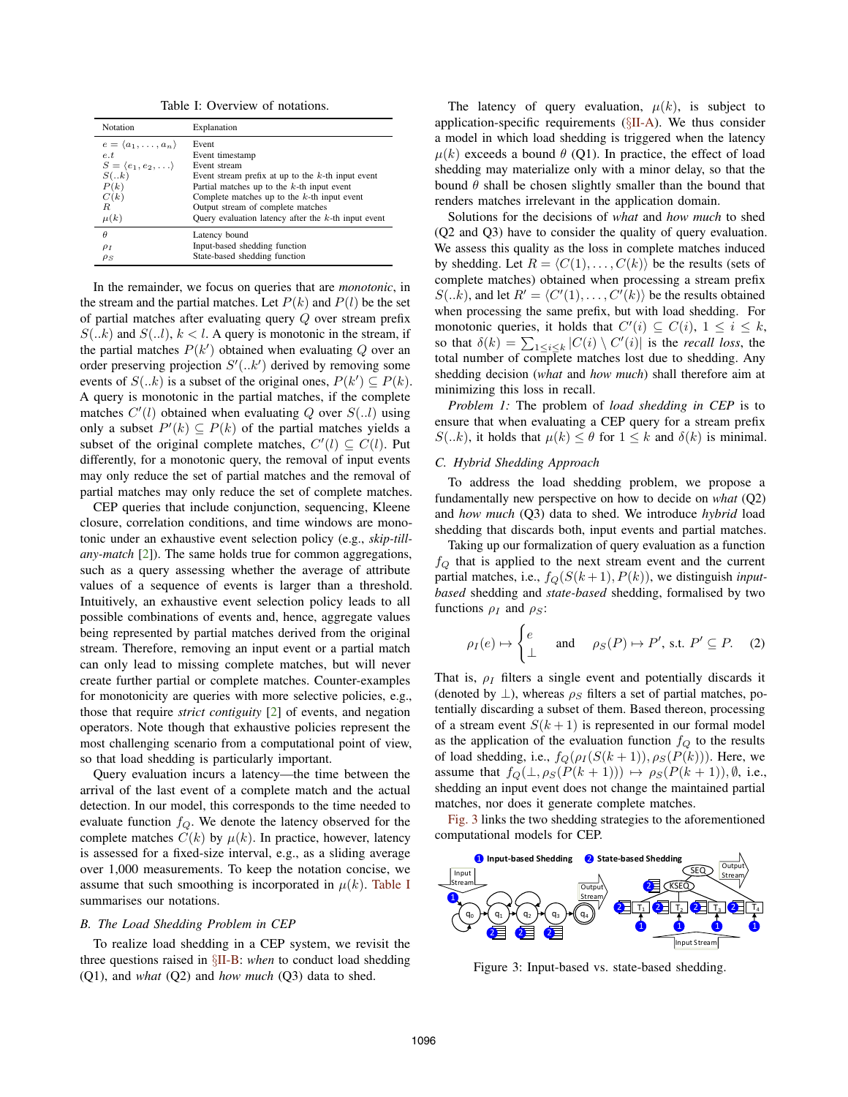Table I: Overview of notations.

| Notation                               | Explanation                                            |
|----------------------------------------|--------------------------------------------------------|
| $e = \langle a_1, \ldots, a_n \rangle$ | Event                                                  |
| e.t                                    | Event timestamp                                        |
| $S = \langle e_1, e_2, \ldots \rangle$ | Event stream                                           |
| S( k)                                  | Event stream prefix at up to the $k$ -th input event   |
| P(k)                                   | Partial matches up to the $k$ -th input event          |
| C(k)                                   | Complete matches up to the $k$ -th input event         |
| R.                                     | Output stream of complete matches                      |
| $\mu(k)$                               | Query evaluation latency after the $k$ -th input event |
| $\theta$                               | Latency bound                                          |
| $\rho_I$                               | Input-based shedding function                          |
| $\rho_S$                               | State-based shedding function                          |

In the remainder, we focus on queries that are *monotonic*, in the stream and the partial matches. Let  $P(k)$  and  $P(l)$  be the set of partial matches after evaluating query Q over stream prefix  $S(.k)$  and  $S(.l)$ ,  $k < l$ . A query is monotonic in the stream, if the partial matches  $P(k')$  obtained when evaluating Q over an order preserving projection  $S'(k)$  derived by removing some events of  $S(.k)$  is a subset of the original ones,  $P(k') \subseteq P(k)$ . A query is monotonic in the partial matches, if the complete matches  $C'(l)$  obtained when evaluating Q over  $S(.l)$  using only a subset  $P'(k) \subseteq P(k)$  of the partial matches yields a subset of the original complete matches,  $C'(l) \subseteq C(l)$ . Put differently, for a monotonic query, the removal of input events may only reduce the set of partial matches and the removal of partial matches may only reduce the set of complete matches.

CEP queries that include conjunction, sequencing, Kleene closure, correlation conditions, and time windows are monotonic under an exhaustive event selection policy (e.g., *skip-tillany-match* [2]). The same holds true for common aggregations, such as a query assessing whether the average of attribute values of a sequence of events is larger than a threshold. Intuitively, an exhaustive event selection policy leads to all possible combinations of events and, hence, aggregate values being represented by partial matches derived from the original stream. Therefore, removing an input event or a partial match can only lead to missing complete matches, but will never create further partial or complete matches. Counter-examples for monotonicity are queries with more selective policies, e.g., those that require *strict contiguity* [2] of events, and negation operators. Note though that exhaustive policies represent the most challenging scenario from a computational point of view, so that load shedding is particularly important.

Query evaluation incurs a latency—the time between the arrival of the last event of a complete match and the actual detection. In our model, this corresponds to the time needed to evaluate function  $f_Q$ . We denote the latency observed for the complete matches  $C(k)$  by  $\mu(k)$ . In practice, however, latency is assessed for a fixed-size interval, e.g., as a sliding average over 1,000 measurements. To keep the notation concise, we assume that such smoothing is incorporated in  $\mu(k)$ . Table I summarises our notations.

#### *B. The Load Shedding Problem in CEP*

To realize load shedding in a CEP system, we revisit the three questions raised in §II-B: *when* to conduct load shedding (Q1), and *what* (Q2) and *how much* (Q3) data to shed.

The latency of query evaluation,  $\mu(k)$ , is subject to application-specific requirements  $(\S II-A)$ . We thus consider a model in which load shedding is triggered when the latency  $\mu(k)$  exceeds a bound  $\theta$  (Q1). In practice, the effect of load shedding may materialize only with a minor delay, so that the bound  $\theta$  shall be chosen slightly smaller than the bound that renders matches irrelevant in the application domain.

Solutions for the decisions of *what* and *how much* to shed (Q2 and Q3) have to consider the quality of query evaluation. We assess this quality as the loss in complete matches induced by shedding. Let  $R = \langle C(1), \ldots, C(k) \rangle$  be the results (sets of complete matches) obtained when processing a stream prefix  $S(.k)$ , and let  $R' = \langle C'(1), \ldots, C'(k) \rangle$  be the results obtained when processing the same prefix, but with load shedding. For monotonic queries, it holds that  $C'(i) \subseteq C(i)$ ,  $1 \leq i \leq k$ , so that  $\delta(k) = \sum_{1 \le i \le k} |C(i) \setminus C'(i)|$  is the *recall loss*, the total number of complete matches lost due to shedding. Any shedding decision (*what* and *how much*) shall therefore aim at minimizing this loss in recall.

*Problem 1:* The problem of *load shedding in CEP* is to ensure that when evaluating a CEP query for a stream prefix  $S(.k)$ , it holds that  $\mu(k) < \theta$  for  $1 \leq k$  and  $\delta(k)$  is minimal.

## *C. Hybrid Shedding Approach*

To address the load shedding problem, we propose a fundamentally new perspective on how to decide on *what* (Q2) and *how much* (Q3) data to shed. We introduce *hybrid* load shedding that discards both, input events and partial matches.

Taking up our formalization of query evaluation as a function  $f_Q$  that is applied to the next stream event and the current partial matches, i.e.,  $f_Q(S(k+1), P(k))$ , we distinguish *inputbased* shedding and *state-based* shedding, formalised by two functions  $\rho_I$  and  $\rho_S$ :

$$
\rho_I(e) \mapsto \begin{cases} e & \text{and} \quad \rho_S(P) \mapsto P', \text{ s.t. } P' \subseteq P. \end{cases} (2)
$$

That is,  $\rho_I$  filters a single event and potentially discards it (denoted by  $\perp$ ), whereas  $\rho_S$  filters a set of partial matches, potentially discarding a subset of them. Based thereon, processing of a stream event  $S(k + 1)$  is represented in our formal model as the application of the evaluation function  $f_{Q}$  to the results of load shedding, i.e.,  $f_Q(\rho_I (S(k+1)), \rho_S(P(k)))$ . Here, we assume that  $f_Q(\perp, \rho_S(P(k+1))) \mapsto \rho_S(P(k+1)), \emptyset$ , i.e., shedding an input event does not change the maintained partial matches, nor does it generate complete matches.

Fig. 3 links the two shedding strategies to the aforementioned computational models for CEP.



Figure 3: Input-based vs. state-based shedding.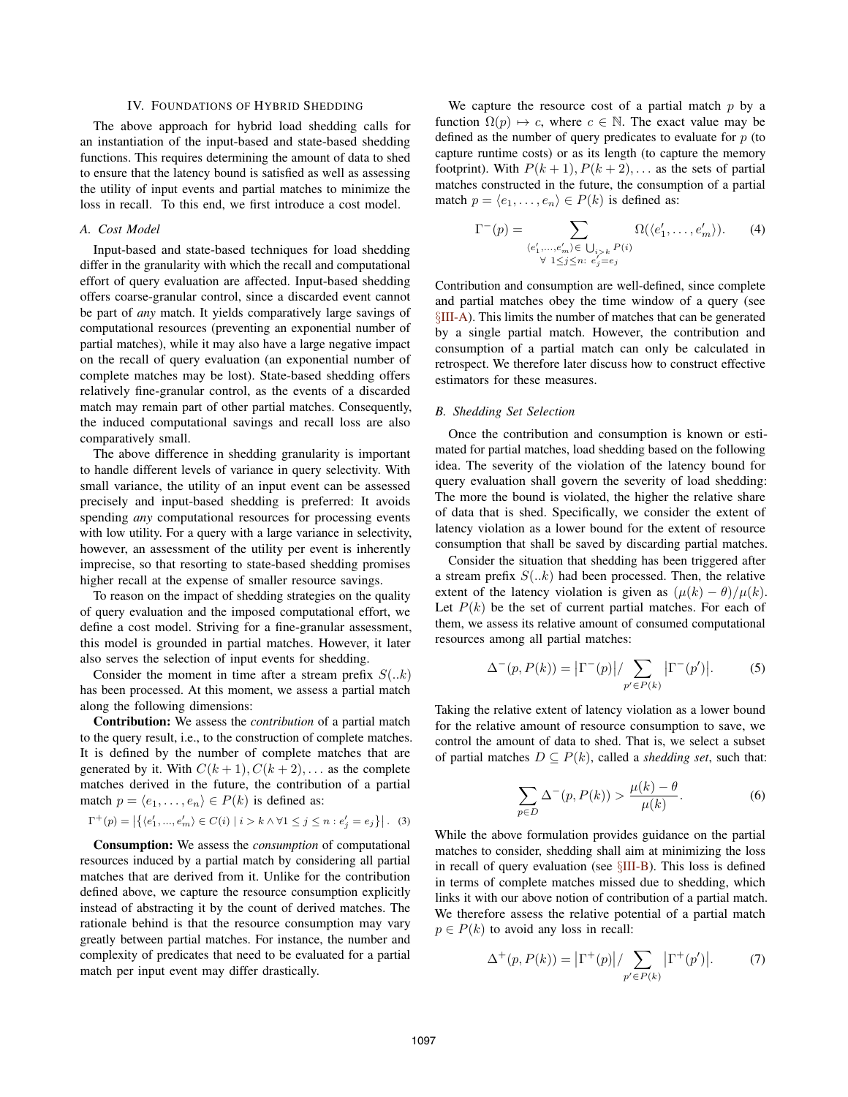## IV. FOUNDATIONS OF HYBRID SHEDDING

The above approach for hybrid load shedding calls for an instantiation of the input-based and state-based shedding functions. This requires determining the amount of data to shed to ensure that the latency bound is satisfied as well as assessing the utility of input events and partial matches to minimize the loss in recall. To this end, we first introduce a cost model.

## *A. Cost Model*

Input-based and state-based techniques for load shedding differ in the granularity with which the recall and computational effort of query evaluation are affected. Input-based shedding offers coarse-granular control, since a discarded event cannot be part of *any* match. It yields comparatively large savings of computational resources (preventing an exponential number of partial matches), while it may also have a large negative impact on the recall of query evaluation (an exponential number of complete matches may be lost). State-based shedding offers relatively fine-granular control, as the events of a discarded match may remain part of other partial matches. Consequently, the induced computational savings and recall loss are also comparatively small.

The above difference in shedding granularity is important to handle different levels of variance in query selectivity. With small variance, the utility of an input event can be assessed precisely and input-based shedding is preferred: It avoids spending *any* computational resources for processing events with low utility. For a query with a large variance in selectivity, however, an assessment of the utility per event is inherently imprecise, so that resorting to state-based shedding promises higher recall at the expense of smaller resource savings.

To reason on the impact of shedding strategies on the quality of query evaluation and the imposed computational effort, we define a cost model. Striving for a fine-granular assessment, this model is grounded in partial matches. However, it later also serves the selection of input events for shedding.

Consider the moment in time after a stream prefix  $S(.k)$ has been processed. At this moment, we assess a partial match along the following dimensions:

Contribution: We assess the *contribution* of a partial match to the query result, i.e., to the construction of complete matches. It is defined by the number of complete matches that are generated by it. With  $C(k + 1), C(k + 2), \ldots$  as the complete matches derived in the future, the contribution of a partial match  $p = \langle e_1, \ldots, e_n \rangle \in P(k)$  is defined as:

$$
\Gamma^{+}(p) = |\{ \langle e'_{1}, ..., e'_{m} \rangle \in C(i) \mid i > k \land \forall 1 \leq j \leq n : e'_{j} = e_{j} \}|. \tag{3}
$$

Consumption: We assess the *consumption* of computational resources induced by a partial match by considering all partial matches that are derived from it. Unlike for the contribution defined above, we capture the resource consumption explicitly instead of abstracting it by the count of derived matches. The rationale behind is that the resource consumption may vary greatly between partial matches. For instance, the number and complexity of predicates that need to be evaluated for a partial match per input event may differ drastically.

We capture the resource cost of a partial match  $p$  by a function  $\Omega(p) \mapsto c$ , where  $c \in \mathbb{N}$ . The exact value may be defined as the number of query predicates to evaluate for  $p$  (to capture runtime costs) or as its length (to capture the memory footprint). With  $P(k + 1)$ ,  $P(k + 2)$ ,... as the sets of partial matches constructed in the future, the consumption of a partial match  $p = \langle e_1, \ldots, e_n \rangle \in P(k)$  is defined as:

$$
\Gamma^{-}(p) = \sum_{\substack{\langle e'_1, \dots, e'_m \rangle \in \bigcup_{i > k} P(i) \\ \forall \ 1 \leq j \leq n : \ e'_j = e_j}} \Omega(\langle e'_1, \dots, e'_m \rangle). \tag{4}
$$

Contribution and consumption are well-defined, since complete and partial matches obey the time window of a query (see §III-A). This limits the number of matches that can be generated by a single partial match. However, the contribution and consumption of a partial match can only be calculated in retrospect. We therefore later discuss how to construct effective estimators for these measures.

#### *B. Shedding Set Selection*

Once the contribution and consumption is known or estimated for partial matches, load shedding based on the following idea. The severity of the violation of the latency bound for query evaluation shall govern the severity of load shedding: The more the bound is violated, the higher the relative share of data that is shed. Specifically, we consider the extent of latency violation as a lower bound for the extent of resource consumption that shall be saved by discarding partial matches.

Consider the situation that shedding has been triggered after a stream prefix  $S(.k)$  had been processed. Then, the relative extent of the latency violation is given as  $(\mu(k) - \theta)/\mu(k)$ . Let  $P(k)$  be the set of current partial matches. For each of them, we assess its relative amount of consumed computational resources among all partial matches:

$$
\Delta^{-}(p, P(k)) = |\Gamma^{-}(p)| / \sum_{p' \in P(k)} |\Gamma^{-}(p')|.
$$
 (5)

Taking the relative extent of latency violation as a lower bound for the relative amount of resource consumption to save, we control the amount of data to shed. That is, we select a subset of partial matches  $D \subseteq P(k)$ , called a *shedding set*, such that:

$$
\sum_{p \in D} \Delta^{-}(p, P(k)) > \frac{\mu(k) - \theta}{\mu(k)}.\tag{6}
$$

While the above formulation provides guidance on the partial matches to consider, shedding shall aim at minimizing the loss in recall of query evaluation (see §III-B). This loss is defined in terms of complete matches missed due to shedding, which links it with our above notion of contribution of a partial match. We therefore assess the relative potential of a partial match  $p \in P(k)$  to avoid any loss in recall:

$$
\Delta^{+}(p, P(k)) = |\Gamma^{+}(p)| / \sum_{p' \in P(k)} |\Gamma^{+}(p')|.
$$
 (7)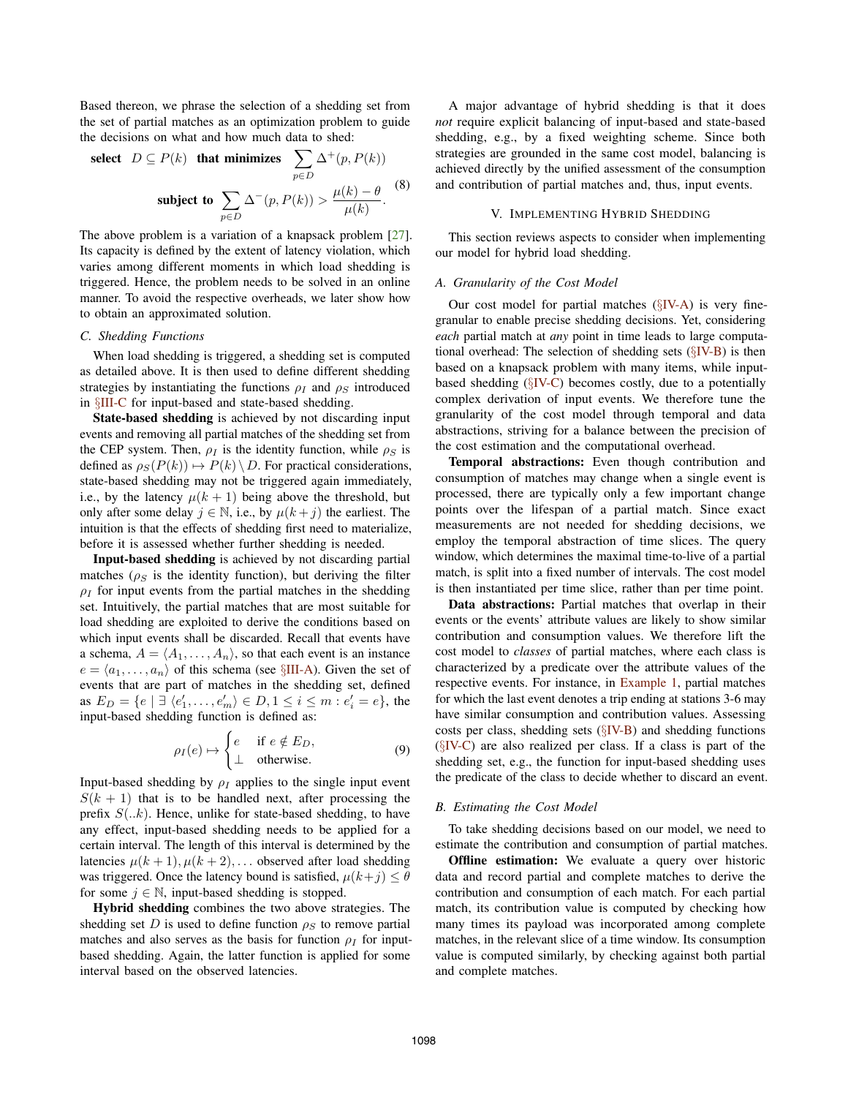Based thereon, we phrase the selection of a shedding set from the set of partial matches as an optimization problem to guide the decisions on what and how much data to shed:

select 
$$
D \subseteq P(k)
$$
 that minimizes  $\sum_{p \in D} \Delta^+(p, P(k))$   
subject to  $\sum_{p \in D} \Delta^-(p, P(k)) > \frac{\mu(k) - \theta}{\mu(k)}$ . (8)

The above problem is a variation of a knapsack problem [27]. Its capacity is defined by the extent of latency violation, which varies among different moments in which load shedding is triggered. Hence, the problem needs to be solved in an online manner. To avoid the respective overheads, we later show how to obtain an approximated solution.

# *C. Shedding Functions*

When load shedding is triggered, a shedding set is computed as detailed above. It is then used to define different shedding strategies by instantiating the functions  $\rho_I$  and  $\rho_S$  introduced in §III-C for input-based and state-based shedding.

State-based shedding is achieved by not discarding input events and removing all partial matches of the shedding set from the CEP system. Then,  $\rho_I$  is the identity function, while  $\rho_S$  is defined as  $\rho_S(P(k)) \mapsto P(k) \setminus D$ . For practical considerations, state-based shedding may not be triggered again immediately, i.e., by the latency  $\mu(k+1)$  being above the threshold, but only after some delay  $j \in \mathbb{N}$ , i.e., by  $\mu(k+j)$  the earliest. The intuition is that the effects of shedding first need to materialize, before it is assessed whether further shedding is needed.

Input-based shedding is achieved by not discarding partial matches ( $\rho_S$  is the identity function), but deriving the filter  $\rho_I$  for input events from the partial matches in the shedding set. Intuitively, the partial matches that are most suitable for load shedding are exploited to derive the conditions based on which input events shall be discarded. Recall that events have a schema,  $A = \langle A_1, \ldots, A_n \rangle$ , so that each event is an instance  $e = \langle a_1, \ldots, a_n \rangle$  of this schema (see  $\S$ III-A). Given the set of events that are part of matches in the shedding set, defined as  $E_D = \{e \mid \exists \langle e'_1, \dots, e'_m \rangle \in D, 1 \leq i \leq m : e'_i = e\}$ , the input-based shedding function is defined as:

$$
\rho_I(e) \mapsto \begin{cases} e & \text{if } e \notin E_D, \\ \perp & \text{otherwise.} \end{cases} \tag{9}
$$

Input-based shedding by  $\rho_I$  applies to the single input event  $S(k + 1)$  that is to be handled next, after processing the prefix  $S(..k)$ . Hence, unlike for state-based shedding, to have any effect, input-based shedding needs to be applied for a certain interval. The length of this interval is determined by the latencies  $\mu(k+1), \mu(k+2), \ldots$  observed after load shedding was triggered. Once the latency bound is satisfied,  $\mu(k+j) \leq \theta$ for some  $j \in \mathbb{N}$ , input-based shedding is stopped.

Hybrid shedding combines the two above strategies. The shedding set D is used to define function  $\rho_S$  to remove partial matches and also serves as the basis for function  $\rho_I$  for inputbased shedding. Again, the latter function is applied for some interval based on the observed latencies.

A major advantage of hybrid shedding is that it does *not* require explicit balancing of input-based and state-based shedding, e.g., by a fixed weighting scheme. Since both strategies are grounded in the same cost model, balancing is achieved directly by the unified assessment of the consumption and contribution of partial matches and, thus, input events.

## V. IMPLEMENTING HYBRID SHEDDING

This section reviews aspects to consider when implementing our model for hybrid load shedding.

## *A. Granularity of the Cost Model*

Our cost model for partial matches  $(\S$ IV-A) is very finegranular to enable precise shedding decisions. Yet, considering *each* partial match at *any* point in time leads to large computational overhead: The selection of shedding sets (§IV-B) is then based on a knapsack problem with many items, while inputbased shedding  $(\S$ IV-C) becomes costly, due to a potentially complex derivation of input events. We therefore tune the granularity of the cost model through temporal and data abstractions, striving for a balance between the precision of the cost estimation and the computational overhead.

Temporal abstractions: Even though contribution and consumption of matches may change when a single event is processed, there are typically only a few important change points over the lifespan of a partial match. Since exact measurements are not needed for shedding decisions, we employ the temporal abstraction of time slices. The query window, which determines the maximal time-to-live of a partial match, is split into a fixed number of intervals. The cost model is then instantiated per time slice, rather than per time point.

Data abstractions: Partial matches that overlap in their events or the events' attribute values are likely to show similar contribution and consumption values. We therefore lift the cost model to *classes* of partial matches, where each class is characterized by a predicate over the attribute values of the respective events. For instance, in Example 1, partial matches for which the last event denotes a trip ending at stations 3-6 may have similar consumption and contribution values. Assessing costs per class, shedding sets (§IV-B) and shedding functions (§IV-C) are also realized per class. If a class is part of the shedding set, e.g., the function for input-based shedding uses the predicate of the class to decide whether to discard an event.

#### *B. Estimating the Cost Model*

To take shedding decisions based on our model, we need to estimate the contribution and consumption of partial matches.

Offline estimation: We evaluate a query over historic data and record partial and complete matches to derive the contribution and consumption of each match. For each partial match, its contribution value is computed by checking how many times its payload was incorporated among complete matches, in the relevant slice of a time window. Its consumption value is computed similarly, by checking against both partial and complete matches.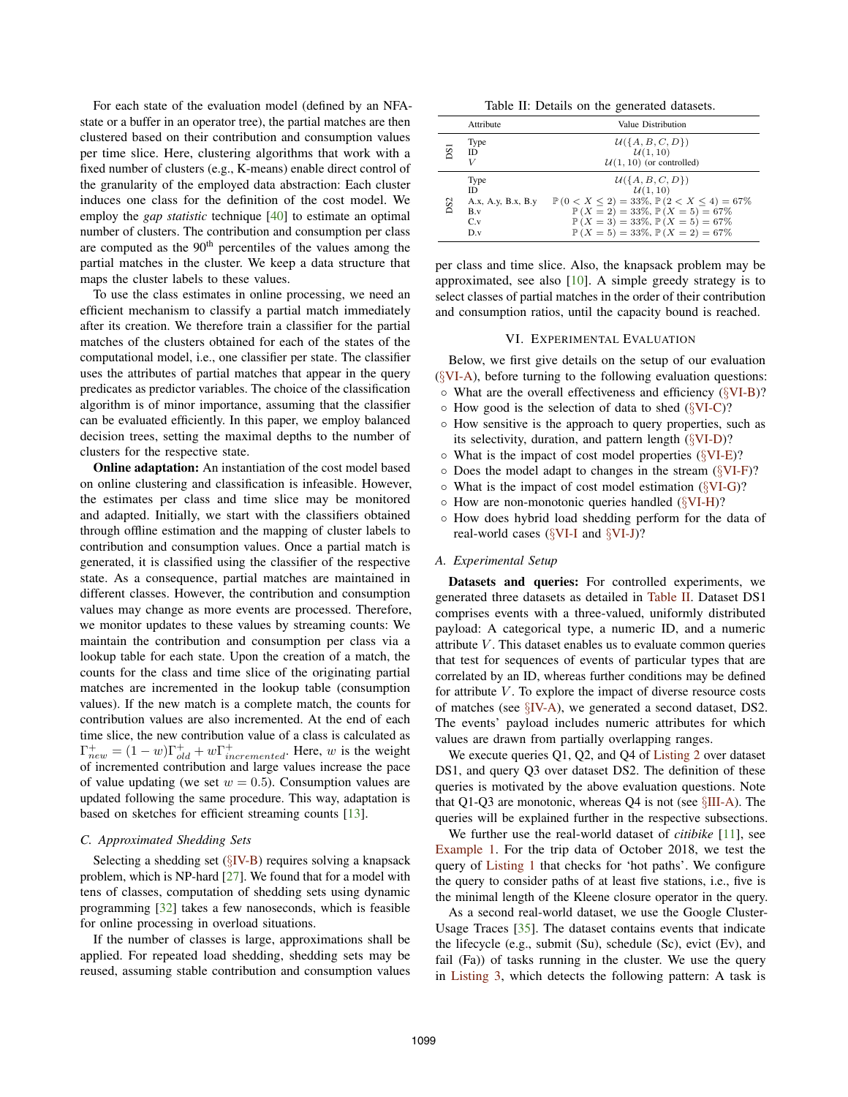For each state of the evaluation model (defined by an NFAstate or a buffer in an operator tree), the partial matches are then clustered based on their contribution and consumption values per time slice. Here, clustering algorithms that work with a fixed number of clusters (e.g., K-means) enable direct control of the granularity of the employed data abstraction: Each cluster induces one class for the definition of the cost model. We employ the *gap statistic* technique [40] to estimate an optimal number of clusters. The contribution and consumption per class are computed as the 90<sup>th</sup> percentiles of the values among the partial matches in the cluster. We keep a data structure that maps the cluster labels to these values.

To use the class estimates in online processing, we need an efficient mechanism to classify a partial match immediately after its creation. We therefore train a classifier for the partial matches of the clusters obtained for each of the states of the computational model, i.e., one classifier per state. The classifier uses the attributes of partial matches that appear in the query predicates as predictor variables. The choice of the classification algorithm is of minor importance, assuming that the classifier can be evaluated efficiently. In this paper, we employ balanced decision trees, setting the maximal depths to the number of clusters for the respective state.

**Online adaptation:** An instantiation of the cost model based on online clustering and classification is infeasible. However, the estimates per class and time slice may be monitored and adapted. Initially, we start with the classifiers obtained through offline estimation and the mapping of cluster labels to contribution and consumption values. Once a partial match is generated, it is classified using the classifier of the respective state. As a consequence, partial matches are maintained in different classes. However, the contribution and consumption values may change as more events are processed. Therefore, we monitor updates to these values by streaming counts: We maintain the contribution and consumption per class via a lookup table for each state. Upon the creation of a match, the counts for the class and time slice of the originating partial matches are incremented in the lookup table (consumption values). If the new match is a complete match, the counts for contribution values are also incremented. At the end of each time slice, the new contribution value of a class is calculated as  $\Gamma_{new}^{+} = (1 - w)\Gamma_{old}^{+} + w\Gamma_{incremented}^{+}$ . Here, w is the weight of incremented contribution and large values increase the pace of value updating (we set  $w = 0.5$ ). Consumption values are updated following the same procedure. This way, adaptation is based on sketches for efficient streaming counts [13].

#### *C. Approximated Shedding Sets*

Selecting a shedding set  $(\S$ IV-B) requires solving a knapsack problem, which is NP-hard [27]. We found that for a model with tens of classes, computation of shedding sets using dynamic programming [32] takes a few nanoseconds, which is feasible for online processing in overload situations.

If the number of classes is large, approximations shall be applied. For repeated load shedding, shedding sets may be reused, assuming stable contribution and consumption values

Table II: Details on the generated datasets.

|     | Attribute                                                      | Value Distribution                                                                                                                                                                                                                                                        |
|-----|----------------------------------------------------------------|---------------------------------------------------------------------------------------------------------------------------------------------------------------------------------------------------------------------------------------------------------------------------|
| DSI | Type<br>ID<br>V                                                | $\mathcal{U}(\{A, B, C, D\})$<br>U(1,10)<br>$U(1, 10)$ (or controlled)                                                                                                                                                                                                    |
| DS2 | Type<br><b>ID</b><br>A.x, A.y, B.x, B.y<br>B.v<br>$C_v$<br>D.v | $\mathcal{U}(\{A, B, C, D\})$<br>U(1, 10)<br>$\mathbb{P}(0 < X < 2) = 33\%, \mathbb{P}(2 < X < 4) = 67\%$<br>$\mathbb{P}(X = 2) = 33\%, \mathbb{P}(X = 5) = 67\%$<br>$\mathbb{P}(X=3) = 33\%, \mathbb{P}(X=5) = 67\%$<br>$\mathbb{P}(X=5) = 33\%, \mathbb{P}(X=2) = 67\%$ |

per class and time slice. Also, the knapsack problem may be approximated, see also [10]. A simple greedy strategy is to select classes of partial matches in the order of their contribution and consumption ratios, until the capacity bound is reached.

#### VI. EXPERIMENTAL EVALUATION

Below, we first give details on the setup of our evaluation (§VI-A), before turning to the following evaluation questions:

- What are the overall effectiveness and efficiency (§VI-B)?
- $\circ$  How good is the selection of data to shed ( $\sqrt{\text{V1-C}}$ )?
- How sensitive is the approach to query properties, such as its selectivity, duration, and pattern length  $(\SVI-D)$ ?
- What is the impact of cost model properties (§VI-E)?
- Does the model adapt to changes in the stream (§VI-F)?
- What is the impact of cost model estimation (§VI-G)?
- How are non-monotonic queries handled (§VI-H)?
- How does hybrid load shedding perform for the data of real-world cases (§VI-I and §VI-J)?

## *A. Experimental Setup*

Datasets and queries: For controlled experiments, we generated three datasets as detailed in Table II. Dataset DS1 comprises events with a three-valued, uniformly distributed payload: A categorical type, a numeric ID, and a numeric attribute  $V$ . This dataset enables us to evaluate common queries that test for sequences of events of particular types that are correlated by an ID, whereas further conditions may be defined for attribute  $V$ . To explore the impact of diverse resource costs of matches (see §IV-A), we generated a second dataset, DS2. The events' payload includes numeric attributes for which values are drawn from partially overlapping ranges.

We execute queries Q1, Q2, and Q4 of Listing 2 over dataset DS1, and query Q3 over dataset DS2. The definition of these queries is motivated by the above evaluation questions. Note that Q1-Q3 are monotonic, whereas Q4 is not (see §III-A). The queries will be explained further in the respective subsections.

We further use the real-world dataset of *citibike* [11], see Example 1. For the trip data of October 2018, we test the query of Listing 1 that checks for 'hot paths'. We configure the query to consider paths of at least five stations, i.e., five is the minimal length of the Kleene closure operator in the query.

As a second real-world dataset, we use the Google Cluster-Usage Traces [35]. The dataset contains events that indicate the lifecycle (e.g., submit (Su), schedule (Sc), evict (Ev), and fail (Fa)) of tasks running in the cluster. We use the query in Listing 3, which detects the following pattern: A task is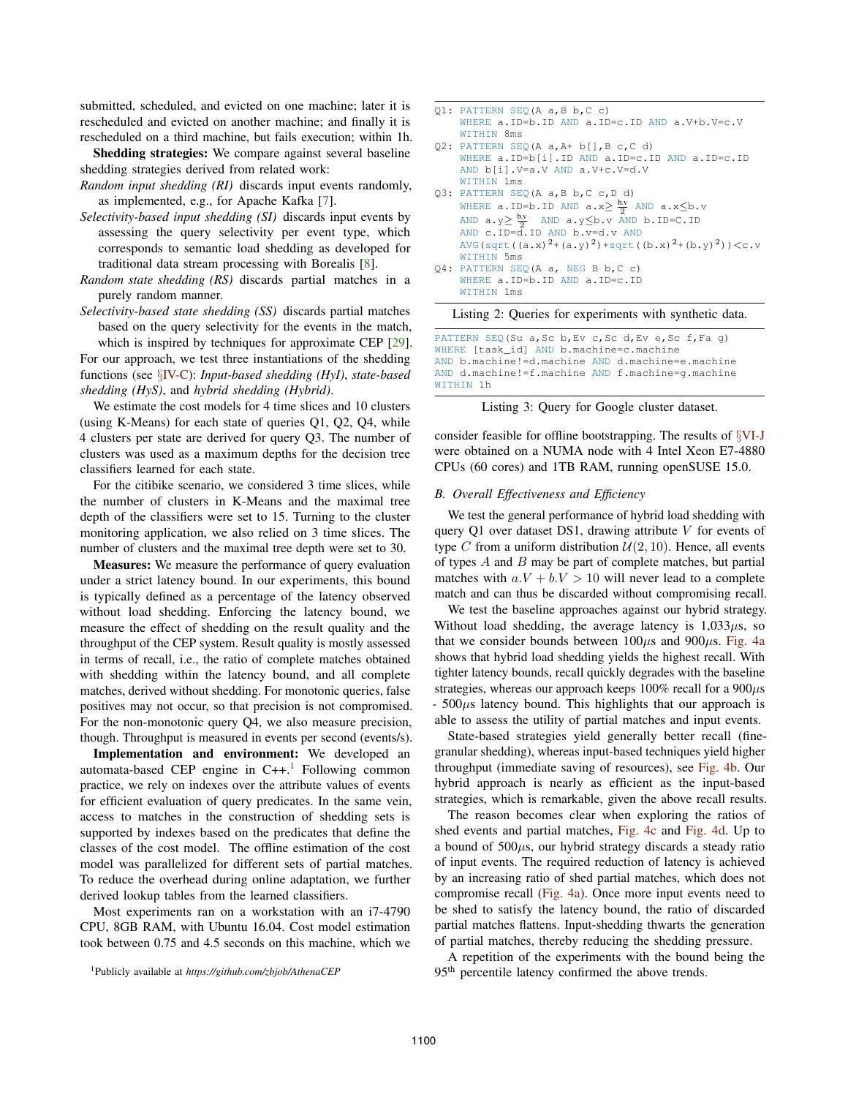submitted, scheduled, and evicted on one machine; later it is rescheduled and evicted on another machine; and finally it is rescheduled on a third machine, but fails execution; within 1h.

Shedding strategies: We compare against several baseline shedding strategies derived from related work:

- *Random input shedding (RI)* discards input events randomly, as implemented, e.g., for Apache Kafka [7].
- *Selectivity-based input shedding (SI)* discards input events by assessing the query selectivity per event type, which corresponds to semantic load shedding as developed for traditional data stream processing with Borealis [8].
- *Random state shedding (RS)* discards partial matches in a purely random manner.
- *Selectivity-based state shedding (SS)* discards partial matches based on the query selectivity for the events in the match, which is inspired by techniques for approximate CEP [29].

For our approach, we test three instantiations of the shedding functions (see §IV-C): *Input-based shedding (HyI)*, *state-based shedding (HyS)*, and *hybrid shedding (Hybrid)*.

We estimate the cost models for 4 time slices and 10 clusters (using K-Means) for each state of queries Q1, Q2, Q4, while 4 clusters per state are derived for query Q3. The number of clusters was used as a maximum depths for the decision tree classifiers learned for each state.

For the citibike scenario, we considered 3 time slices, while the number of clusters in K-Means and the maximal tree depth of the classifiers were set to 15. Turning to the cluster monitoring application, we also relied on 3 time slices. The number of clusters and the maximal tree depth were set to 30.

Measures: We measure the performance of query evaluation under a strict latency bound. In our experiments, this bound is typically defined as a percentage of the latency observed without load shedding. Enforcing the latency bound, we measure the effect of shedding on the result quality and the throughput of the CEP system. Result quality is mostly assessed in terms of recall, i.e., the ratio of complete matches obtained with shedding within the latency bound, and all complete matches, derived without shedding. For monotonic queries, false positives may not occur, so that precision is not compromised. For the non-monotonic query Q4, we also measure precision, though. Throughput is measured in events per second (events/s).

Implementation and environment: We developed an automata-based CEP engine in  $C_{++}$ .<sup>1</sup> Following common practice, we rely on indexes over the attribute values of events for efficient evaluation of query predicates. In the same vein, access to matches in the construction of shedding sets is supported by indexes based on the predicates that define the classes of the cost model. The offline estimation of the cost model was parallelized for different sets of partial matches. To reduce the overhead during online adaptation, we further derived lookup tables from the learned classifiers.

Most experiments ran on a workstation with an i7-4790 CPU, 8GB RAM, with Ubuntu 16.04. Cost model estimation took between 0.75 and 4.5 seconds on this machine, which we

| 01: PATTERN SEO (A a, B b, C c)                                                                                   |
|-------------------------------------------------------------------------------------------------------------------|
|                                                                                                                   |
| WHERE $a.ID=b.ID$ AND $a.ID=c.ID$ AND $a.V+b.V=c.V$                                                               |
| WITHIN 8ms                                                                                                        |
| Q2: PATTERN SEQ(A a, A+ b[], B c, C d)                                                                            |
| WHERE $a.ID=b[i].ID AND a.ID=c.ID AND a.ID=c.ID$                                                                  |
| AND b[i].V=a.V AND a.V+c.V=d.V                                                                                    |
| WITHIN 1ms                                                                                                        |
| 03: PATTERN SEO(A a, B b, C c, D d)                                                                               |
| WHERE a. ID=b. ID AND $a.x \geq \frac{b.v}{2}$ AND $a.x \leq b.v$                                                 |
| AND $a \cdot y \ge \frac{b \cdot y}{2}$ AND $a \cdot y \le b \cdot v$ AND $b \cdot \text{ID} = C \cdot \text{ID}$ |
| AND c.ID=d.ID AND b.v=d.v AND                                                                                     |
| AVG (sqrt $((a.x)^{2}+(a.y)^{2})+sqrt((b.x)^{2}+(b.y)^{2})$ ) < c.v                                               |
| WITHIN 5ms                                                                                                        |
| 04: PATTERN SEO (A a, NEG B b, C c)                                                                               |
| WHERE $a.ID=b.ID AND a.ID=c.ID$                                                                                   |
| WITHIN 1ms                                                                                                        |

Listing 2: Queries for experiments with synthetic data.

PATTERN SEQ(Su a, Sc b, Ev c, Sc d, Ev e, Sc f, Fa g) WHERE [task\_id] AND b.machine=c.machine AND b.machine!=d.machine AND d.machine=e.machine AND d.machine!=f.machine AND f.machine=g.machine WITHIN 1h



consider feasible for offline bootstrapping. The results of §VI-J were obtained on a NUMA node with 4 Intel Xeon E7-4880 CPUs (60 cores) and 1TB RAM, running openSUSE 15.0.

## *B. Overall Effectiveness and Efficiency*

We test the general performance of hybrid load shedding with query Q1 over dataset DS1, drawing attribute  $V$  for events of type C from a uniform distribution  $\mathcal{U}(2, 10)$ . Hence, all events of types  $A$  and  $B$  may be part of complete matches, but partial matches with  $a.V + b.V > 10$  will never lead to a complete match and can thus be discarded without compromising recall.

We test the baseline approaches against our hybrid strategy. Without load shedding, the average latency is  $1,033\mu s$ , so that we consider bounds between  $100\mu s$  and  $900\mu s$ . Fig. 4a shows that hybrid load shedding yields the highest recall. With tighter latency bounds, recall quickly degrades with the baseline strategies, whereas our approach keeps  $100\%$  recall for a  $900\mu s$  $-500\mu s$  latency bound. This highlights that our approach is able to assess the utility of partial matches and input events.

State-based strategies yield generally better recall (finegranular shedding), whereas input-based techniques yield higher throughput (immediate saving of resources), see Fig. 4b. Our hybrid approach is nearly as efficient as the input-based strategies, which is remarkable, given the above recall results.

The reason becomes clear when exploring the ratios of shed events and partial matches, Fig. 4c and Fig. 4d. Up to a bound of  $500\mu s$ , our hybrid strategy discards a steady ratio of input events. The required reduction of latency is achieved by an increasing ratio of shed partial matches, which does not compromise recall (Fig. 4a). Once more input events need to be shed to satisfy the latency bound, the ratio of discarded partial matches flattens. Input-shedding thwarts the generation of partial matches, thereby reducing the shedding pressure.

A repetition of the experiments with the bound being the 95<sup>th</sup> percentile latency confirmed the above trends.

<sup>1</sup>Publicly available at *https://github.com/zbjob/AthenaCEP*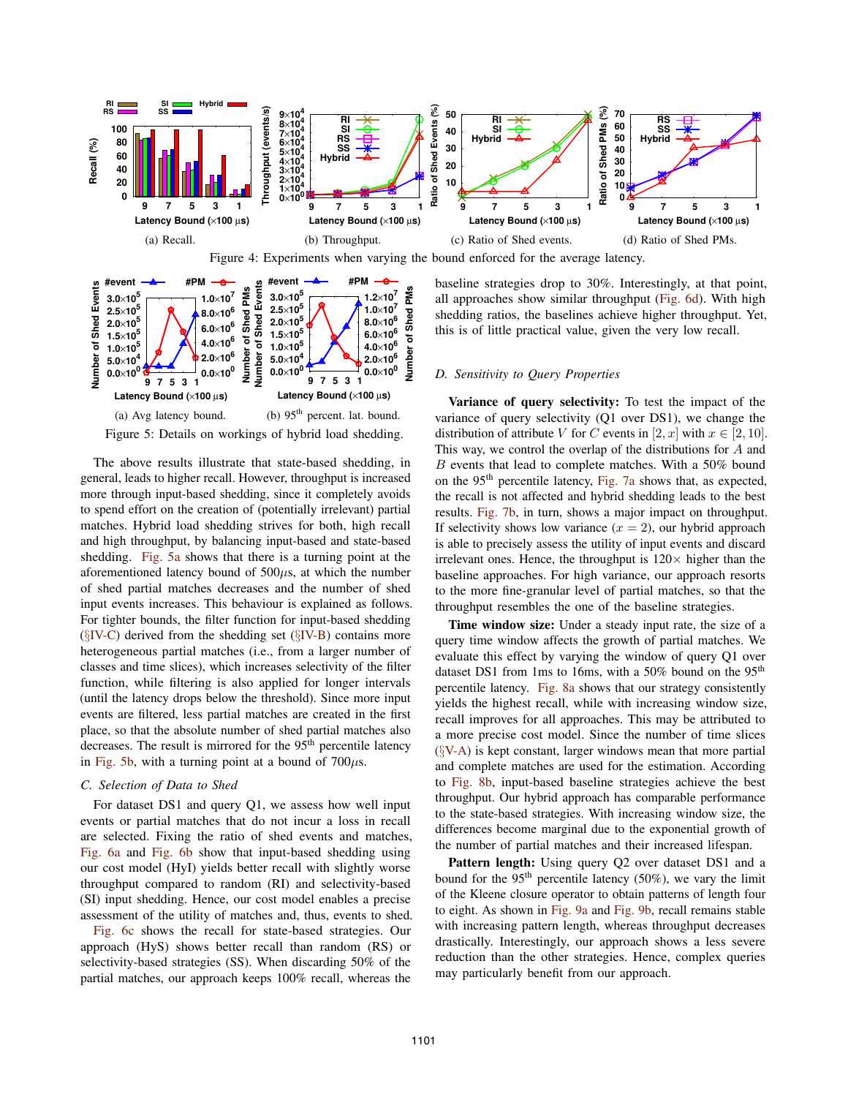

Figure 4: Experiments when varying the bound enforced for the average latency.



Figure 5: Details on workings of hybrid load shedding.

The above results illustrate that state-based shedding, in general, leads to higher recall. However, throughput is increased more through input-based shedding, since it completely avoids to spend effort on the creation of (potentially irrelevant) partial matches. Hybrid load shedding strives for both, high recall and high throughput, by balancing input-based and state-based shedding. Fig. 5a shows that there is a turning point at the aforementioned latency bound of  $500\mu s$ , at which the number of shed partial matches decreases and the number of shed input events increases. This behaviour is explained as follows. For tighter bounds, the filter function for input-based shedding  $(\S$ IV-C) derived from the shedding set  $(\S$ IV-B) contains more heterogeneous partial matches (i.e., from a larger number of classes and time slices), which increases selectivity of the filter function, while filtering is also applied for longer intervals (until the latency drops below the threshold). Since more input events are filtered, less partial matches are created in the first place, so that the absolute number of shed partial matches also decreases. The result is mirrored for the 95<sup>th</sup> percentile latency in Fig. 5b, with a turning point at a bound of  $700\mu s$ .

### *C. Selection of Data to Shed*

For dataset DS1 and query Q1, we assess how well input events or partial matches that do not incur a loss in recall are selected. Fixing the ratio of shed events and matches, Fig. 6a and Fig. 6b show that input-based shedding using our cost model (HyI) yields better recall with slightly worse throughput compared to random (RI) and selectivity-based (SI) input shedding. Hence, our cost model enables a precise assessment of the utility of matches and, thus, events to shed.

Fig. 6c shows the recall for state-based strategies. Our approach (HyS) shows better recall than random (RS) or selectivity-based strategies (SS). When discarding 50% of the partial matches, our approach keeps 100% recall, whereas the

baseline strategies drop to 30%. Interestingly, at that point, all approaches show similar throughput (Fig. 6d). With high shedding ratios, the baselines achieve higher throughput. Yet, this is of little practical value, given the very low recall.

## *D. Sensitivity to Query Properties*

Variance of query selectivity: To test the impact of the variance of query selectivity (Q1 over DS1), we change the distribution of attribute V for C events in [2, x] with  $x \in [2, 10]$ . This way, we control the overlap of the distributions for  $A$  and B events that lead to complete matches. With a 50% bound on the 95<sup>th</sup> percentile latency, Fig. 7a shows that, as expected, the recall is not affected and hybrid shedding leads to the best results. Fig. 7b, in turn, shows a major impact on throughput. If selectivity shows low variance  $(x = 2)$ , our hybrid approach is able to precisely assess the utility of input events and discard irrelevant ones. Hence, the throughput is  $120 \times$  higher than the baseline approaches. For high variance, our approach resorts to the more fine-granular level of partial matches, so that the throughput resembles the one of the baseline strategies.

Time window size: Under a steady input rate, the size of a query time window affects the growth of partial matches. We evaluate this effect by varying the window of query Q1 over dataset DS1 from 1ms to 16ms, with a 50% bound on the 95<sup>th</sup> percentile latency. Fig. 8a shows that our strategy consistently yields the highest recall, while with increasing window size, recall improves for all approaches. This may be attributed to a more precise cost model. Since the number of time slices  $(\S{V-A})$  is kept constant, larger windows mean that more partial and complete matches are used for the estimation. According to Fig. 8b, input-based baseline strategies achieve the best throughput. Our hybrid approach has comparable performance to the state-based strategies. With increasing window size, the differences become marginal due to the exponential growth of the number of partial matches and their increased lifespan.

Pattern length: Using query Q2 over dataset DS1 and a bound for the  $95<sup>th</sup>$  percentile latency (50%), we vary the limit of the Kleene closure operator to obtain patterns of length four to eight. As shown in Fig. 9a and Fig. 9b, recall remains stable with increasing pattern length, whereas throughput decreases drastically. Interestingly, our approach shows a less severe reduction than the other strategies. Hence, complex queries may particularly benefit from our approach.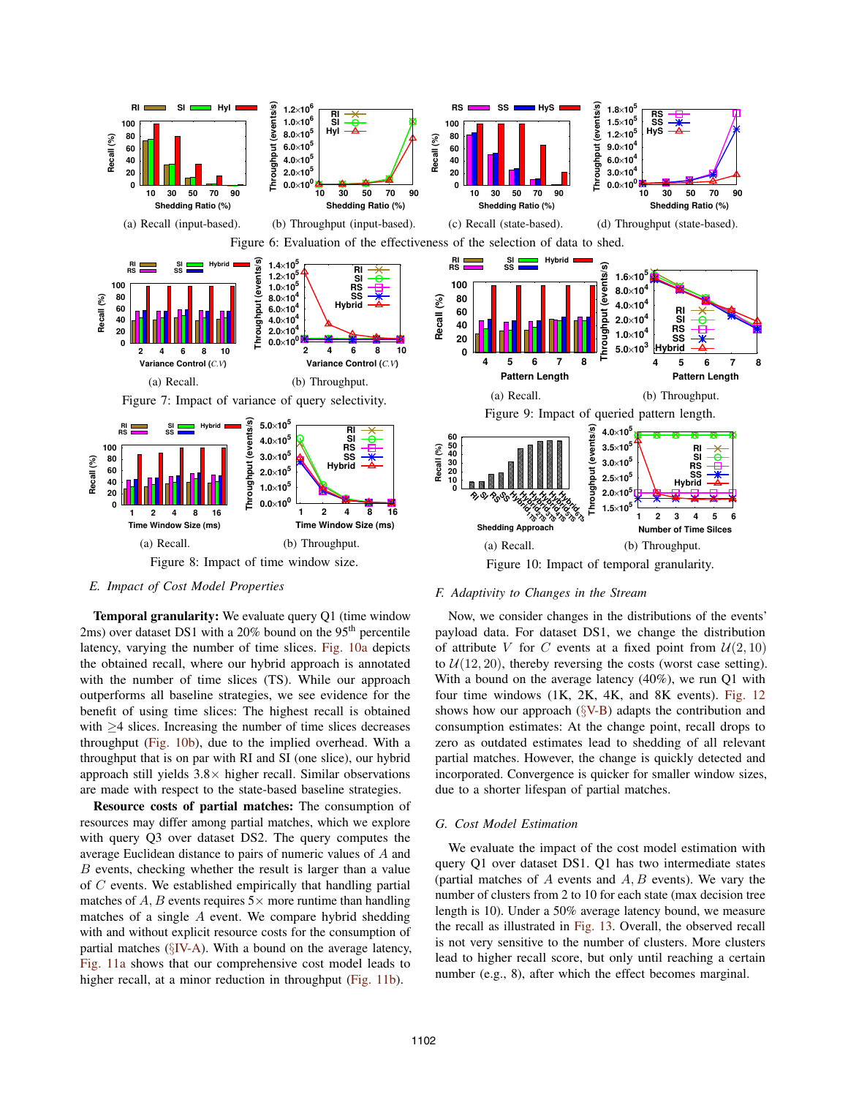

## *E. Impact of Cost Model Properties*

Temporal granularity: We evaluate query Q1 (time window 2ms) over dataset DS1 with a  $20\%$  bound on the 95<sup>th</sup> percentile latency, varying the number of time slices. Fig. 10a depicts the obtained recall, where our hybrid approach is annotated with the number of time slices (TS). While our approach outperforms all baseline strategies, we see evidence for the benefit of using time slices: The highest recall is obtained with  $\geq$ 4 slices. Increasing the number of time slices decreases throughput (Fig. 10b), due to the implied overhead. With a throughput that is on par with RI and SI (one slice), our hybrid approach still yields  $3.8\times$  higher recall. Similar observations are made with respect to the state-based baseline strategies.

Resource costs of partial matches: The consumption of resources may differ among partial matches, which we explore with query Q3 over dataset DS2. The query computes the average Euclidean distance to pairs of numeric values of A and B events, checking whether the result is larger than a value of C events. We established empirically that handling partial matches of A, B events requires  $5 \times$  more runtime than handling matches of a single A event. We compare hybrid shedding with and without explicit resource costs for the consumption of partial matches  $(\S$ IV-A). With a bound on the average latency, Fig. 11a shows that our comprehensive cost model leads to higher recall, at a minor reduction in throughput (Fig. 11b).

## *F. Adaptivity to Changes in the Stream*

Now, we consider changes in the distributions of the events' payload data. For dataset DS1, we change the distribution of attribute V for C events at a fixed point from  $U(2, 10)$ to  $U(12, 20)$ , thereby reversing the costs (worst case setting). With a bound on the average latency (40%), we run Q1 with four time windows  $(1K, 2K, 4K,$  and  $8K$  events). Fig. 12 shows how our approach  $(\S_{\rm V-B})$  adapts the contribution and consumption estimates: At the change point, recall drops to zero as outdated estimates lead to shedding of all relevant partial matches. However, the change is quickly detected and incorporated. Convergence is quicker for smaller window sizes, due to a shorter lifespan of partial matches.

## *G. Cost Model Estimation*

We evaluate the impact of the cost model estimation with query Q1 over dataset DS1. Q1 has two intermediate states (partial matches of  $A$  events and  $A, B$  events). We vary the number of clusters from 2 to 10 for each state (max decision tree length is 10). Under a 50% average latency bound, we measure the recall as illustrated in Fig. 13. Overall, the observed recall is not very sensitive to the number of clusters. More clusters lead to higher recall score, but only until reaching a certain number (e.g., 8), after which the effect becomes marginal.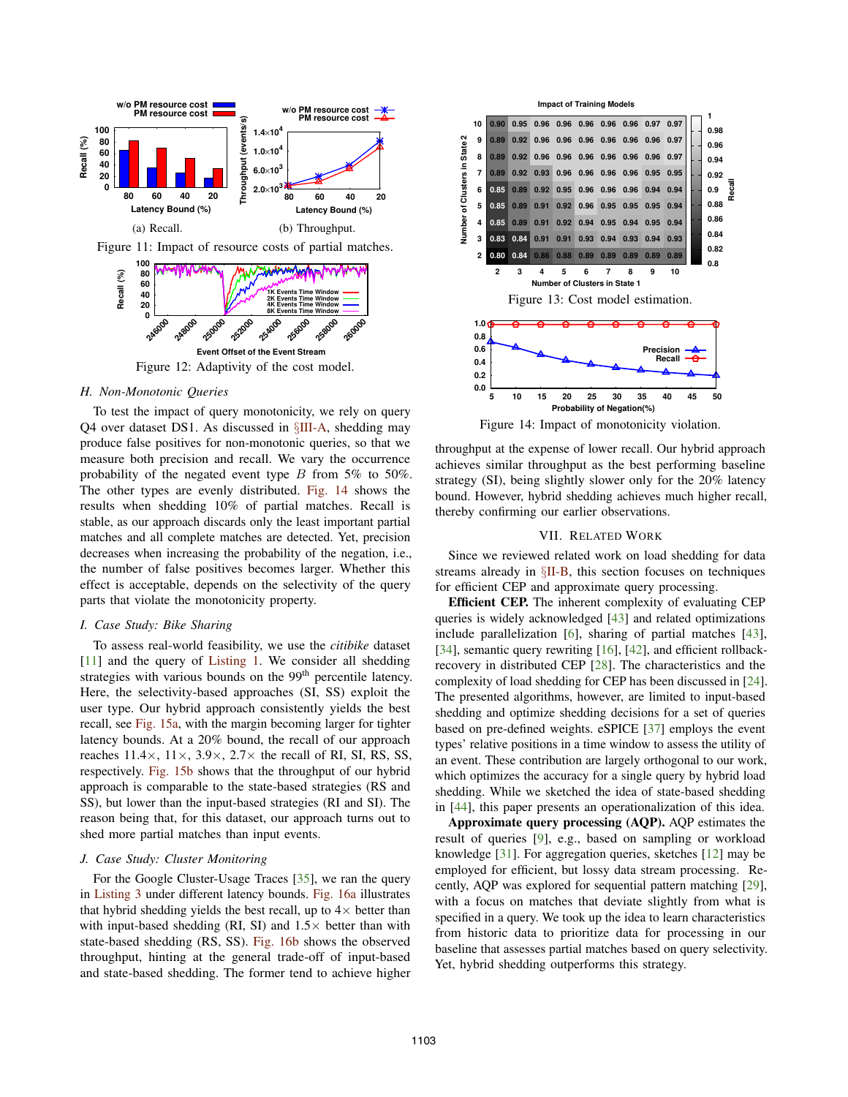

# *H. Non-Monotonic Queries*

To test the impact of query monotonicity, we rely on query Q4 over dataset DS1. As discussed in §III-A, shedding may produce false positives for non-monotonic queries, so that we measure both precision and recall. We vary the occurrence probability of the negated event type  $B$  from 5% to 50%. The other types are evenly distributed. Fig. 14 shows the results when shedding 10% of partial matches. Recall is stable, as our approach discards only the least important partial matches and all complete matches are detected. Yet, precision decreases when increasing the probability of the negation, i.e., the number of false positives becomes larger. Whether this effect is acceptable, depends on the selectivity of the query parts that violate the monotonicity property.

## *I. Case Study: Bike Sharing*

To assess real-world feasibility, we use the *citibike* dataset [11] and the query of Listing 1. We consider all shedding strategies with various bounds on the 99<sup>th</sup> percentile latency. Here, the selectivity-based approaches (SI, SS) exploit the user type. Our hybrid approach consistently yields the best recall, see Fig. 15a, with the margin becoming larger for tighter latency bounds. At a 20% bound, the recall of our approach reaches  $11.4 \times$ ,  $11 \times$ ,  $3.9 \times$ ,  $2.7 \times$  the recall of RI, SI, RS, SS, respectively. Fig. 15b shows that the throughput of our hybrid approach is comparable to the state-based strategies (RS and SS), but lower than the input-based strategies (RI and SI). The reason being that, for this dataset, our approach turns out to shed more partial matches than input events.

## *J. Case Study: Cluster Monitoring*

For the Google Cluster-Usage Traces [35], we ran the query in Listing 3 under different latency bounds. Fig. 16a illustrates that hybrid shedding yields the best recall, up to  $4\times$  better than with input-based shedding (RI, SI) and  $1.5\times$  better than with state-based shedding (RS, SS). Fig. 16b shows the observed throughput, hinting at the general trade-off of input-based and state-based shedding. The former tend to achieve higher



Figure 14: Impact of monotonicity violation.

throughput at the expense of lower recall. Our hybrid approach achieves similar throughput as the best performing baseline strategy (SI), being slightly slower only for the 20% latency bound. However, hybrid shedding achieves much higher recall, thereby confirming our earlier observations.

#### VII. RELATED WORK

Since we reviewed related work on load shedding for data streams already in §II-B, this section focuses on techniques for efficient CEP and approximate query processing.

Efficient CEP. The inherent complexity of evaluating CEP queries is widely acknowledged [43] and related optimizations include parallelization [6], sharing of partial matches [43], [34], semantic query rewriting [16], [42], and efficient rollbackrecovery in distributed CEP [28]. The characteristics and the complexity of load shedding for CEP has been discussed in [24]. The presented algorithms, however, are limited to input-based shedding and optimize shedding decisions for a set of queries based on pre-defined weights. eSPICE [37] employs the event types' relative positions in a time window to assess the utility of an event. These contribution are largely orthogonal to our work, which optimizes the accuracy for a single query by hybrid load shedding. While we sketched the idea of state-based shedding in [44], this paper presents an operationalization of this idea.

Approximate query processing (AQP). AQP estimates the result of queries [9], e.g., based on sampling or workload knowledge [31]. For aggregation queries, sketches [12] may be employed for efficient, but lossy data stream processing. Recently, AQP was explored for sequential pattern matching [29], with a focus on matches that deviate slightly from what is specified in a query. We took up the idea to learn characteristics from historic data to prioritize data for processing in our baseline that assesses partial matches based on query selectivity. Yet, hybrid shedding outperforms this strategy.